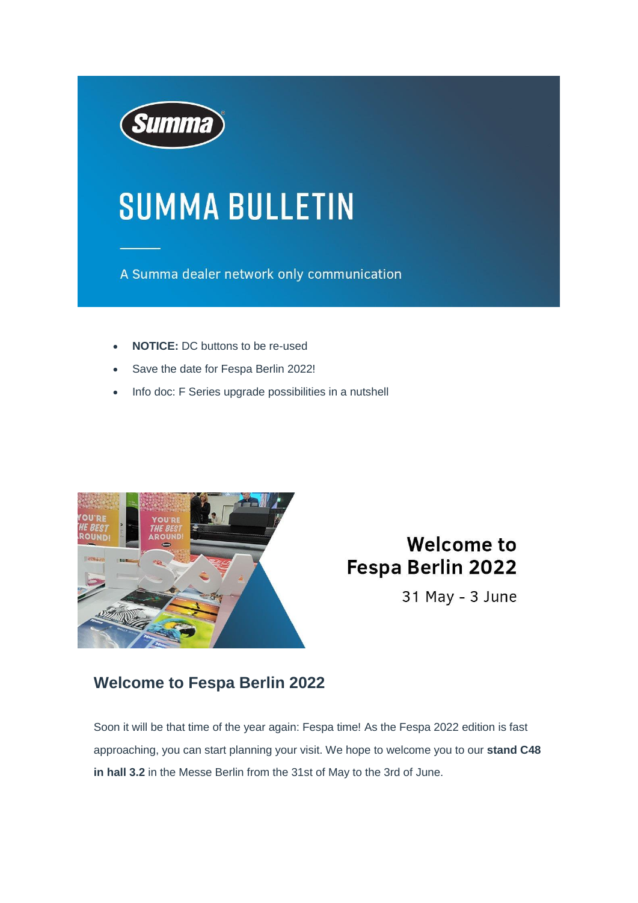

# **SUMMA BULLETIN**

A Summa dealer network only communication

- **NOTICE:** DC buttons to be re-used
- Save the date for Fespa Berlin 2022!
- Info doc: F Series upgrade possibilities in a nutshell



# **Welcome to** Fespa Berlin 2022

31 May - 3 June

#### **Welcome to Fespa Berlin 2022**

Soon it will be that time of the year again: Fespa time! As the Fespa 2022 edition is fast approaching, you can start planning your visit. We hope to welcome you to our **stand C48 in hall 3.2** in the Messe Berlin from the 31st of May to the 3rd of June.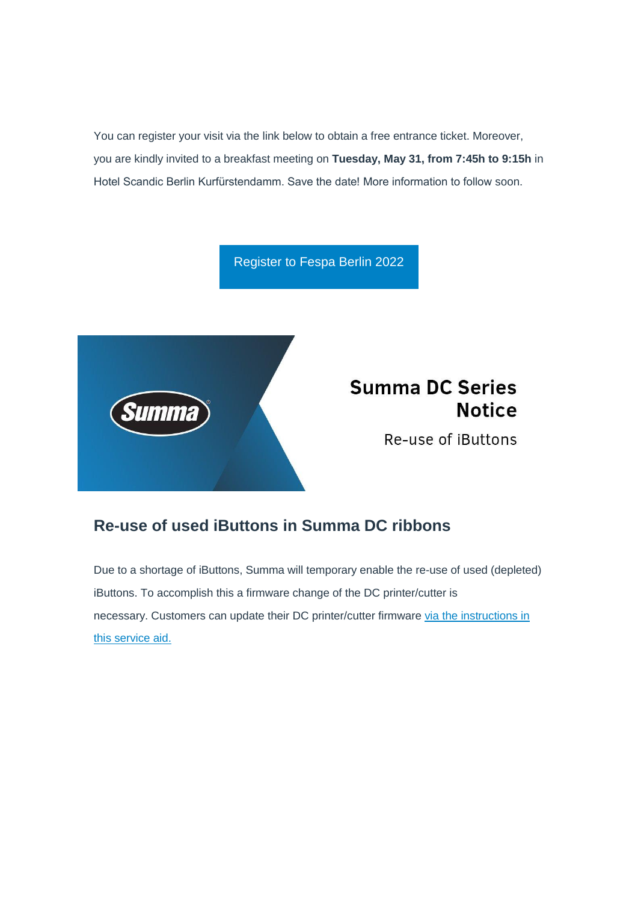You can register your visit via the link below to obtain a free entrance ticket. Moreover, you are kindly invited to a breakfast meeting on **Tuesday, May 31, from 7:45h to 9:15h** in Hotel Scandic Berlin Kurfürstendamm. Save the date! More information to follow soon.

[Register to Fespa Berlin 2022](https://c-v4204.na1.hubspotlinks.com/Ctc/W2+113/c-v4204/MW9r5NQgj09N8M_CrySQQpGW4bWRWk4JCX_FN20xtwL3lScZV1-WJV7CgK8cW6mknWv2KHbBJVPPrHZ7kTFttW94drBr59wnQxW50nZ5K67-VHFVF8T7x5_kRrTW5qddCB54yw31W3_P6TX5yQ9q0V485Rl2y6H3XW7b7b3099jtlKW50X08q3HKpGpW5p9L4x3prwt3W218YHF30cWMvW7XC1j15LdQKfW39bRCP1s_xlYW3v--GJ6X1Fx5W5wsqxP4Z_WRtN4cS3cWtw5dzN9cCD-hg7HT1Mcp03q97cd9W3kL9Bw2_RzszW2NSd5q7cDf1NW2s-CLK1SN8DyVWt6Vv2wczTbW65Hccs3Qf8hzW3yhd-S2_FyNlW2tLfSD2YFw5FW9f0Bpp8S0GghW1xwKVv1VJlJjW8CvM9h2hk7jjW1rm78C2fV4323mck1)



## **Summa DC Series Notice**

Re-use of iButtons

#### **Re-use of used iButtons in Summa DC ribbons**

Due to a shortage of iButtons, Summa will temporary enable the re-use of used (depleted) iButtons. To accomplish this a firmware change of the DC printer/cutter is necessary. Customers can update their DC printer/cutter firmware [via the instructions in](https://c-v4204.na1.hubspotlinks.com/Ctc/W2+113/c-v4204/MW9r5NQgj09N8M_CrySQQpGW4bWRWk4JCX_FN20xtwL3lScZV1-WJV7CgD4KW9lpgH_5NBX33W7PS-VK990x5mN1s6n0yL9_fpW7c9Q7L2_RP2sW6ysWYv3hNY2qVQ0n8F3R-ZY7W1KGDLJ9kC1h9W6zMtCP5xdkYfW4x_tG714ynT8W32W77k1fWw6pW9gzpCZ1wvsjfW5PY5cF7TqpypW3DdnsP2wtTJBW4FJDCC3XWkxmN6CFq4pSqLM7W7qrcpG2HXPbvW2d7krP6JRMgmW7ZbNCq1v_WN1N84zJwpDP0H0W5ZJdV16XwPr1W7B8P2S4TxKv_N668WBXCX3KHW71SSlL3B6JP4W6pStLb8BMK_TVg4K8T3K6VR3V2jTjK1P38r0W5B1c7l1DHQCnW5N-_p15b8P2pW4cL1-L8RRPcPN24L3fZ4dV343q1P1)  [this service aid.](https://c-v4204.na1.hubspotlinks.com/Ctc/W2+113/c-v4204/MW9r5NQgj09N8M_CrySQQpGW4bWRWk4JCX_FN20xtwL3lScZV1-WJV7CgD4KW9lpgH_5NBX33W7PS-VK990x5mN1s6n0yL9_fpW7c9Q7L2_RP2sW6ysWYv3hNY2qVQ0n8F3R-ZY7W1KGDLJ9kC1h9W6zMtCP5xdkYfW4x_tG714ynT8W32W77k1fWw6pW9gzpCZ1wvsjfW5PY5cF7TqpypW3DdnsP2wtTJBW4FJDCC3XWkxmN6CFq4pSqLM7W7qrcpG2HXPbvW2d7krP6JRMgmW7ZbNCq1v_WN1N84zJwpDP0H0W5ZJdV16XwPr1W7B8P2S4TxKv_N668WBXCX3KHW71SSlL3B6JP4W6pStLb8BMK_TVg4K8T3K6VR3V2jTjK1P38r0W5B1c7l1DHQCnW5N-_p15b8P2pW4cL1-L8RRPcPN24L3fZ4dV343q1P1)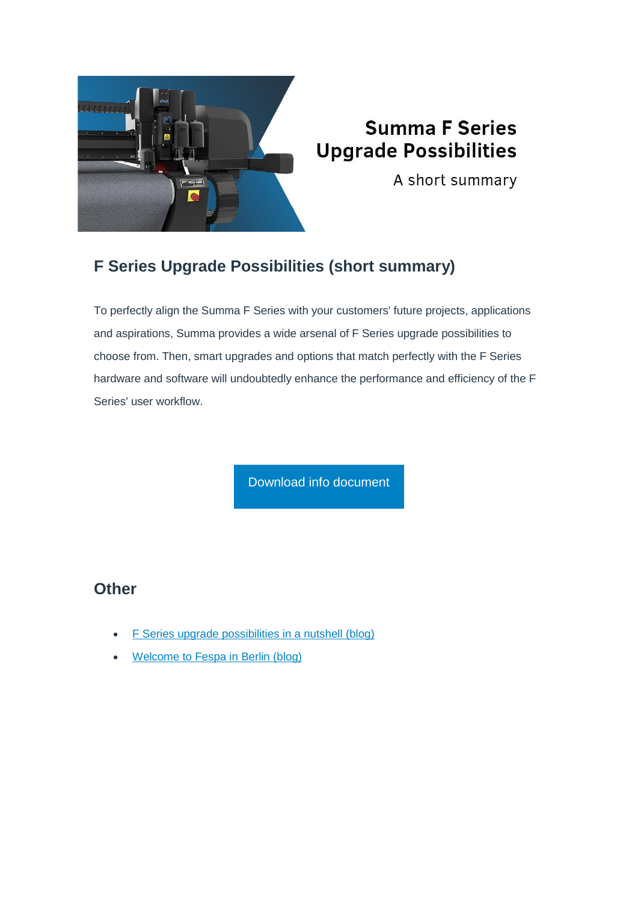

# **Summa F Series Upgrade Possibilities**

A short summary

### **F Series Upgrade Possibilities (short summary)**

To perfectly align the Summa F Series with your customers' future projects, applications and aspirations, Summa provides a wide arsenal of F Series upgrade possibilities to choose from. Then, smart upgrades and options that match perfectly with the F Series hardware and software will undoubtedly enhance the performance and efficiency of the F Series' user workflow.

[Download info document](https://c-v4204.na1.hubspotlinks.com/Ctc/W2+113/c-v4204/MW9r5NQgj09N8M_CrySQQpGW4bWRWk4JCX_FN20xtwL3lScZV1-WJV7CgJV_W38lVyL1kL9JrW6hhWHz3fz6T5W4JFk8R2SvzPbW11kpX84GrPpcW1h8qkC6_DKVKW5twbrz5CYHmpW62yf3P4z8f-wVG6TK23WG8FfW82q1j42Q3pJwM71V5DLn6FkW5pCfsk196vk5W84Fz6F6pV2nYW4b_JYj7Yz7ZZW5hy9dP8mqBR9N2ptpBmSQzJwW8TVhLK5hv7W2W7KTbss6r_4LlVJ09Kj4fMMq_W4yzjr252wHgZW5rzX-m2wJ3dZW20r_cK4W8SR9W5P2Jc55Cw9kbW3Fq90y3gmmFMW9jlbkQ8gCDnxW8qFsWx2yP0h4M-q7tVzFxZpW411Xlq2sKHtNW8tLqbq3z6lvrW4nZ7NL8rbdkWW3r-HPc8vHhr43fZ01)

#### **Other**

- [F Series upgrade possibilities in a nutshell](https://c-v4204.na1.hubspotlinks.com/Ctc/W2+113/c-v4204/MW9r5NQgj09N8M_CrySQQpGW4bWRWk4JCX_FN20xtwL3lScZV1-WJV7CgZKtN5XPcGPFwTy-W5VsWy68rvCpCW1bZN0q3MqWzvW8m__wm217gWhW9dpPlt37vBf8W8cyXPp7ttlYsW7MZBlF20nK_1W7Trps17FG7F4N5BG4l57wWvsW60CJF76JHFXsW1Byz747TzH-0W1XKlYH2TNbMKW5jkWZt8ppryLV4211N7VnSQhW2wD2Nk9jt4rnV76W952Sz8B0W3-LsHr6q0FTJW3Y0hGc730WDcW7h1w199gg8HdVW-qsy1vcdChVvw7kw4Ts_XdW6_Fdfw6KBhjJVjFxCk3fp_kfW44wnw58T45HxW6Zh48k4k0TnwW7wBH9K3SnGhTN7Qlk6Lhb1K-W84wRBF6vx4LbW7ymfX16dx4lwW3TWVMR3-Mgc534ft1) (blog)
- [Welcome to Fespa in Berlin \(blog\)](https://c-v4204.na1.hubspotlinks.com/Ctc/W2+113/c-v4204/MW9r5NQgj09N8M_CrySQQpGW4bWRWk4JCX_FN20xttZ5knJmV3Zsc37CgXpBW6k1scJ7Kd86sW4LHV2S89x1bzW3DJLXf5vpSs0W2CW2bt5qwzH9W1mrls_6cWQNsVBxvrR7hBnVRW2STpNp7zQyBfW23lHjB36NF8kW33WLxD1fV_vQW7QsVRD13sP_HW7wQQxy7X2LxBW90bght1nn2g2W75pMvN7gRhvbW912YvB7ByTl7W3PXCMr90L2l3W7bCNQM4Nc5BlW1PfFT29f2QFGW25mWWv1L6D4tW9hS7lp7hLh9YVDBFnW4N_kkbW5hqf851N76WfW4wR9fx2YFj9pW30ZKZ95Yc0QVW2Y1nKh27YHPfW43zkSz23MPFmN3r0PgwQ3CgGW2wVL0p48R2CbW3Fw_3R4zzzxmW7JTBpg3ZCRVsVpvJ9P5DfDghW1M4DSc6mSSZkW7rt7FS95PxpWW2GWPNL6V3PLXVQ7GMm71hhJY38tQ1)